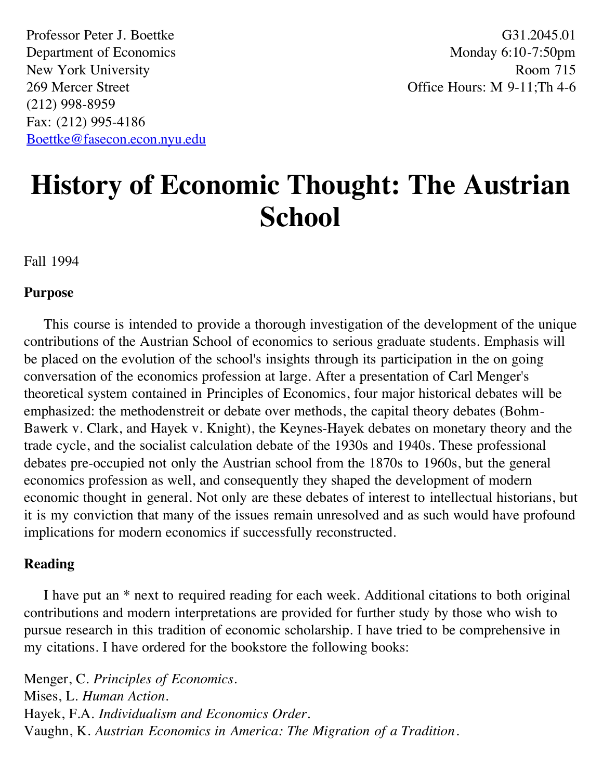Professor Peter J. Boettke Department of Economics New York University 269 Mercer Street (212) 998-8959 Fax: (212) 995-4186 [Boettke@fasecon.econ.nyu.edu](mailto:boettke@fasecon.econ.nyu.edu)

G31.2045.01 Monday 6:10-7:50pm Room 715 Office Hours: M 9-11;Th 4-6

# **History of Economic Thought: The Austrian School**

Fall 1994

#### **Purpose**

 This course is intended to provide a thorough investigation of the development of the unique contributions of the Austrian School of economics to serious graduate students. Emphasis will be placed on the evolution of the school's insights through its participation in the on going conversation of the economics profession at large. After a presentation of Carl Menger's theoretical system contained in Principles of Economics, four major historical debates will be emphasized: the methodenstreit or debate over methods, the capital theory debates (Bohm-Bawerk v. Clark, and Hayek v. Knight), the Keynes-Hayek debates on monetary theory and the trade cycle, and the socialist calculation debate of the 1930s and 1940s. These professional debates pre-occupied not only the Austrian school from the 1870s to 1960s, but the general economics profession as well, and consequently they shaped the development of modern economic thought in general. Not only are these debates of interest to intellectual historians, but it is my conviction that many of the issues remain unresolved and as such would have profound implications for modern economics if successfully reconstructed.

#### **Reading**

 I have put an \* next to required reading for each week. Additional citations to both original contributions and modern interpretations are provided for further study by those who wish to pursue research in this tradition of economic scholarship. I have tried to be comprehensive in my citations. I have ordered for the bookstore the following books:

Menger, C. *Principles of Economics*. Mises, L. *Human Action*. Hayek, F.A. *Individualism and Economics Order*. Vaughn, K. *Austrian Economics in America: The Migration of a Tradition*.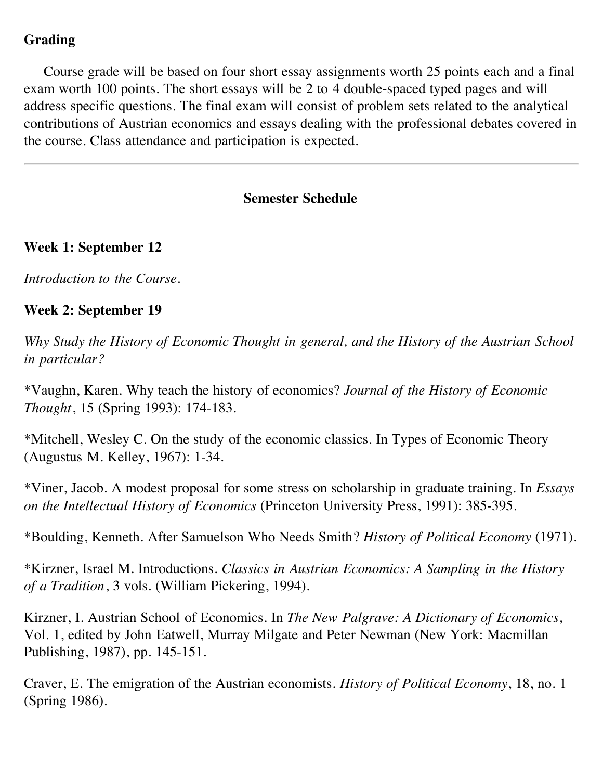## **Grading**

 Course grade will be based on four short essay assignments worth 25 points each and a final exam worth 100 points. The short essays will be 2 to 4 double-spaced typed pages and will address specific questions. The final exam will consist of problem sets related to the analytical contributions of Austrian economics and essays dealing with the professional debates covered in the course. Class attendance and participation is expected.

#### **Semester Schedule**

#### **Week 1: September 12**

*Introduction to the Course.*

#### **Week 2: September 19**

*Why Study the History of Economic Thought in general, and the History of the Austrian School in particular?*

\*Vaughn, Karen. Why teach the history of economics? *Journal of the History of Economic Thought*, 15 (Spring 1993): 174-183.

\*Mitchell, Wesley C. On the study of the economic classics. In Types of Economic Theory (Augustus M. Kelley, 1967): 1-34.

\*Viner, Jacob. A modest proposal for some stress on scholarship in graduate training. In *Essays on the Intellectual History of Economics* (Princeton University Press, 1991): 385-395.

\*Boulding, Kenneth. After Samuelson Who Needs Smith? *History of Political Economy* (1971).

\*Kirzner, Israel M. Introductions. *Classics in Austrian Economics: A Sampling in the History of a Tradition*, 3 vols. (William Pickering, 1994).

Kirzner, I. Austrian School of Economics. In *The New Palgrave: A Dictionary of Economics*, Vol. 1, edited by John Eatwell, Murray Milgate and Peter Newman (New York: Macmillan Publishing, 1987), pp. 145-151.

Craver, E. The emigration of the Austrian economists. *History of Political Economy*, 18, no. 1 (Spring 1986).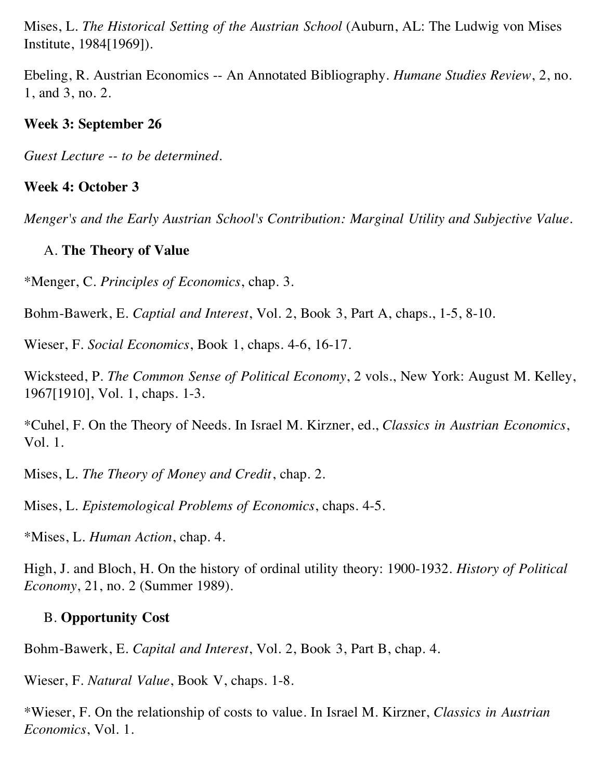Mises, L. *The Historical Setting of the Austrian School* (Auburn, AL: The Ludwig von Mises Institute, 1984[1969]).

Ebeling, R. Austrian Economics -- An Annotated Bibliography. *Humane Studies Review*, 2, no. 1, and 3, no. 2.

#### **Week 3: September 26**

*Guest Lecture -- to be determined.*

## **Week 4: October 3**

*Menger's and the Early Austrian School's Contribution: Marginal Utility and Subjective Value.*

## A. **The Theory of Value**

\*Menger, C. *Principles of Economics*, chap. 3.

Bohm-Bawerk, E. *Captial and Interest*, Vol. 2, Book 3, Part A, chaps., 1-5, 8-10.

Wieser, F. *Social Economics*, Book 1, chaps. 4-6, 16-17.

Wicksteed, P. *The Common Sense of Political Economy*, 2 vols., New York: August M. Kelley, 1967[1910], Vol. 1, chaps. 1-3.

\*Cuhel, F. On the Theory of Needs. In Israel M. Kirzner, ed., *Classics in Austrian Economics*, Vol. 1.

Mises, L. *The Theory of Money and Credit*, chap. 2.

Mises, L. *Epistemological Problems of Economics*, chaps. 4-5.

\*Mises, L. *Human Action*, chap. 4.

High, J. and Bloch, H. On the history of ordinal utility theory: 1900-1932. *History of Political Economy*, 21, no. 2 (Summer 1989).

## B. **Opportunity Cost**

Bohm-Bawerk, E. *Capital and Interest*, Vol. 2, Book 3, Part B, chap. 4.

Wieser, F. *Natural Value*, Book V, chaps. 1-8.

\*Wieser, F. On the relationship of costs to value. In Israel M. Kirzner, *Classics in Austrian Economics*, Vol. 1.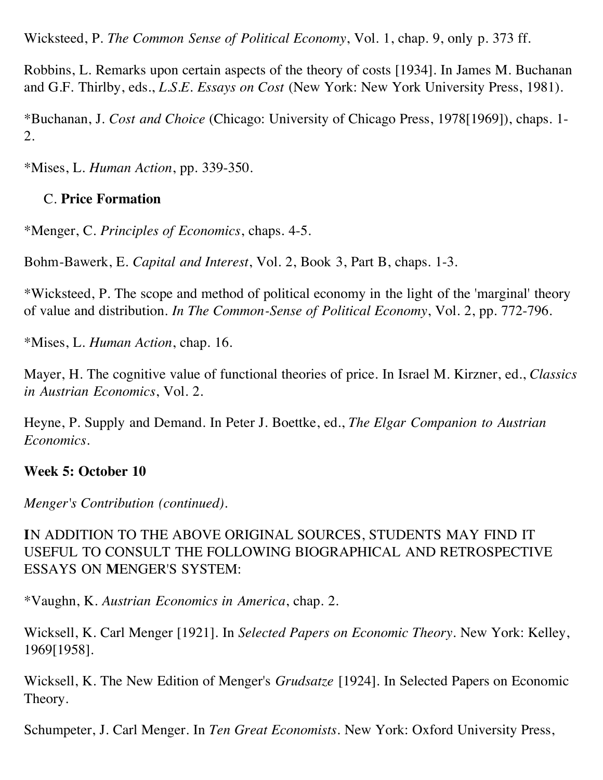Wicksteed, P. *The Common Sense of Political Economy*, Vol. 1, chap. 9, only p. 373 ff.

Robbins, L. Remarks upon certain aspects of the theory of costs [1934]. In James M. Buchanan and G.F. Thirlby, eds., *L.S.E. Essays on Cost* (New York: New York University Press, 1981).

\*Buchanan, J. *Cost and Choice* (Chicago: University of Chicago Press, 1978[1969]), chaps. 1- 2.

\*Mises, L. *Human Action*, pp. 339-350.

## C. **Price Formation**

\*Menger, C. *Principles of Economics*, chaps. 4-5.

Bohm-Bawerk, E. *Capital and Interest*, Vol. 2, Book 3, Part B, chaps. 1-3.

\*Wicksteed, P. The scope and method of political economy in the light of the 'marginal' theory of value and distribution. *In The Common-Sense of Political Economy*, Vol. 2, pp. 772-796.

\*Mises, L. *Human Action*, chap. 16.

Mayer, H. The cognitive value of functional theories of price. In Israel M. Kirzner, ed., *Classics in Austrian Economics*, Vol. 2.

Heyne, P. Supply and Demand. In Peter J. Boettke, ed., *The Elgar Companion to Austrian Economics*.

## **Week 5: October 10**

*Menger's Contribution (continued).*

**I**N ADDITION TO THE ABOVE ORIGINAL SOURCES, STUDENTS MAY FIND IT USEFUL TO CONSULT THE FOLLOWING BIOGRAPHICAL AND RETROSPECTIVE ESSAYS ON **M**ENGER'S SYSTEM:

\*Vaughn, K. *Austrian Economics in America*, chap. 2.

Wicksell, K. Carl Menger [1921]. In *Selected Papers on Economic Theory*. New York: Kelley, 1969[1958].

Wicksell, K. The New Edition of Menger's *Grudsatze* [1924]. In Selected Papers on Economic Theory.

Schumpeter, J. Carl Menger. In *Ten Great Economists*. New York: Oxford University Press,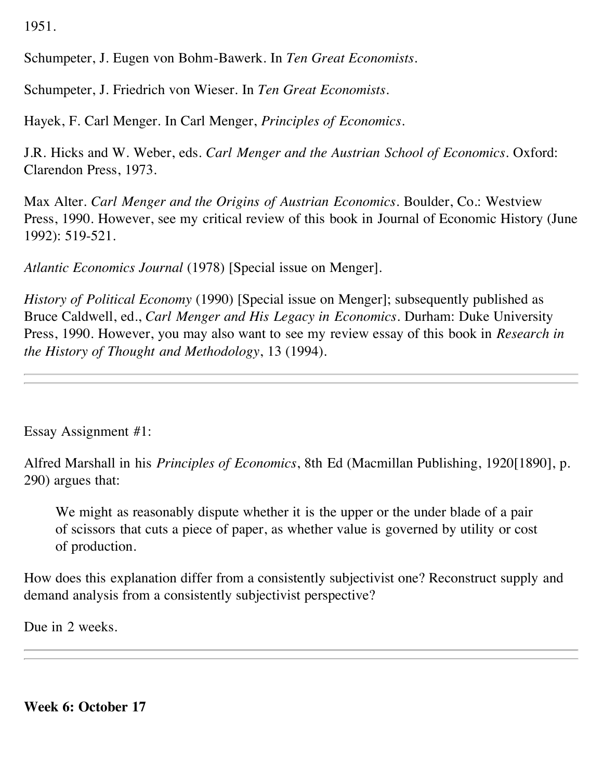1951.

Schumpeter, J. Eugen von Bohm-Bawerk. In *Ten Great Economists*.

Schumpeter, J. Friedrich von Wieser. In *Ten Great Economists*.

Hayek, F. Carl Menger. In Carl Menger, *Principles of Economics*.

J.R. Hicks and W. Weber, eds. *Carl Menger and the Austrian School of Economics*. Oxford: Clarendon Press, 1973.

Max Alter. *Carl Menger and the Origins of Austrian Economics*. Boulder, Co.: Westview Press, 1990. However, see my critical review of this book in Journal of Economic History (June 1992): 519-521.

*Atlantic Economics Journal* (1978) [Special issue on Menger].

*History of Political Economy* (1990) [Special issue on Menger]; subsequently published as Bruce Caldwell, ed., *Carl Menger and His Legacy in Economics*. Durham: Duke University Press, 1990. However, you may also want to see my review essay of this book in *Research in the History of Thought and Methodology*, 13 (1994).

Essay Assignment #1:

Alfred Marshall in his *Principles of Economics*, 8th Ed (Macmillan Publishing, 1920[1890], p. 290) argues that:

 We might as reasonably dispute whether it is the upper or the under blade of a pair of scissors that cuts a piece of paper, as whether value is governed by utility or cost of production.

How does this explanation differ from a consistently subjectivist one? Reconstruct supply and demand analysis from a consistently subjectivist perspective?

Due in 2 weeks.

**Week 6: October 17**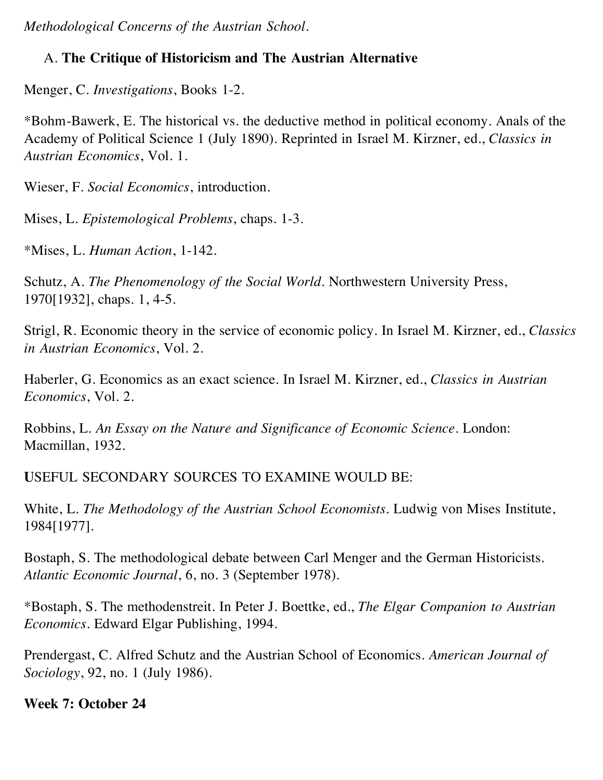*Methodological Concerns of the Austrian School.*

# A. **The Critique of Historicism and The Austrian Alternative**

Menger, C. *Investigations*, Books 1-2.

\*Bohm-Bawerk, E. The historical vs. the deductive method in political economy. Anals of the Academy of Political Science 1 (July 1890). Reprinted in Israel M. Kirzner, ed., *Classics in Austrian Economics*, Vol. 1.

Wieser, F. *Social Economics*, introduction.

Mises, L. *Epistemological Problems*, chaps. 1-3.

\*Mises, L. *Human Action*, 1-142.

Schutz, A. *The Phenomenology of the Social World*. Northwestern University Press, 1970[1932], chaps. 1, 4-5.

Strigl, R. Economic theory in the service of economic policy. In Israel M. Kirzner, ed., *Classics in Austrian Economics*, Vol. 2.

Haberler, G. Economics as an exact science. In Israel M. Kirzner, ed., *Classics in Austrian Economics*, Vol. 2.

Robbins, L. *An Essay on the Nature and Significance of Economic Science*. London: Macmillan, 1932.

**U**SEFUL SECONDARY SOURCES TO EXAMINE WOULD BE:

White, L. *The Methodology of the Austrian School Economists*. Ludwig von Mises Institute, 1984[1977].

Bostaph, S. The methodological debate between Carl Menger and the German Historicists. *Atlantic Economic Journal*, 6, no. 3 (September 1978).

\*Bostaph, S. The methodenstreit. In Peter J. Boettke, ed., *The Elgar Companion to Austrian Economics*. Edward Elgar Publishing, 1994.

Prendergast, C. Alfred Schutz and the Austrian School of Economics. *American Journal of Sociology*, 92, no. 1 (July 1986).

**Week 7: October 24**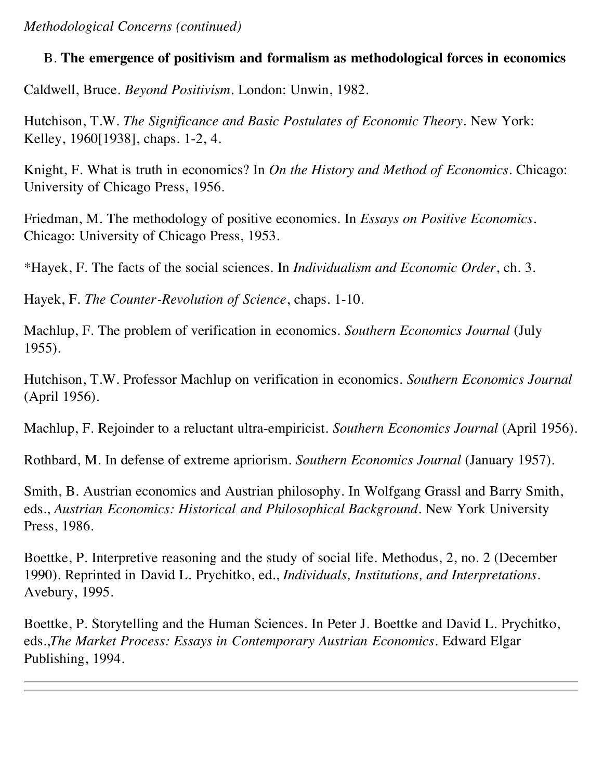*Methodological Concerns (continued)*

## B. **The emergence of positivism and formalism as methodological forces in economics**

Caldwell, Bruce. *Beyond Positivism*. London: Unwin, 1982.

Hutchison, T.W. *The Significance and Basic Postulates of Economic Theory*. New York: Kelley, 1960[1938], chaps. 1-2, 4.

Knight, F. What is truth in economics? In *On the History and Method of Economics*. Chicago: University of Chicago Press, 1956.

Friedman, M. The methodology of positive economics. In *Essays on Positive Economics*. Chicago: University of Chicago Press, 1953.

\*Hayek, F. The facts of the social sciences. In *Individualism and Economic Order*, ch. 3.

Hayek, F. *The Counter-Revolution of Science*, chaps. 1-10.

Machlup, F. The problem of verification in economics. *Southern Economics Journal* (July 1955).

Hutchison, T.W. Professor Machlup on verification in economics. *Southern Economics Journal* (April 1956).

Machlup, F. Rejoinder to a reluctant ultra-empiricist. *Southern Economics Journal* (April 1956).

Rothbard, M. In defense of extreme apriorism. *Southern Economics Journal* (January 1957).

Smith, B. Austrian economics and Austrian philosophy. In Wolfgang Grassl and Barry Smith, eds., *Austrian Economics: Historical and Philosophical Background*. New York University Press, 1986.

Boettke, P. Interpretive reasoning and the study of social life. Methodus, 2, no. 2 (December 1990). Reprinted in David L. Prychitko, ed., *Individuals, Institutions, and Interpretations*. Avebury, 1995.

Boettke, P. Storytelling and the Human Sciences. In Peter J. Boettke and David L. Prychitko, eds.,*The Market Process: Essays in Contemporary Austrian Economics*. Edward Elgar Publishing, 1994.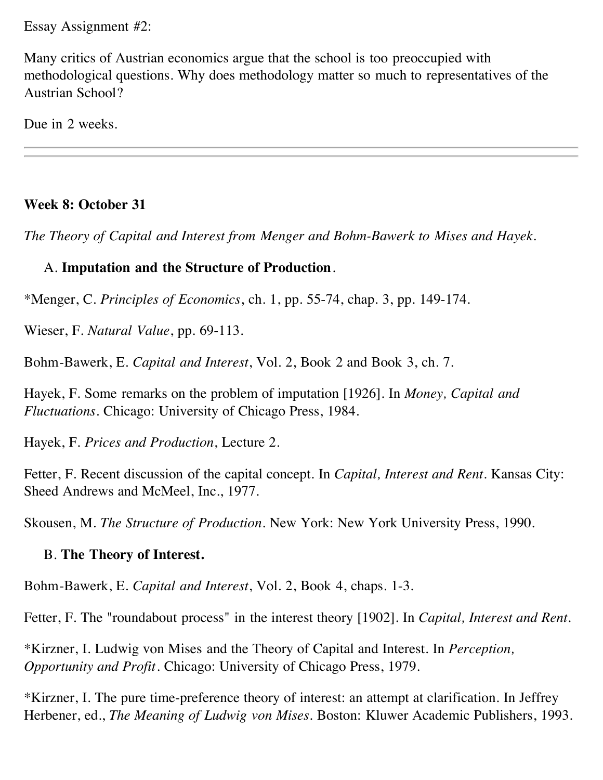Essay Assignment #2:

Many critics of Austrian economics argue that the school is too preoccupied with methodological questions. Why does methodology matter so much to representatives of the Austrian School?

Due in 2 weeks.

## **Week 8: October 31**

*The Theory of Capital and Interest from Menger and Bohm-Bawerk to Mises and Hayek.*

## A. **Imputation and the Structure of Production**.

\*Menger, C. *Principles of Economics*, ch. 1, pp. 55-74, chap. 3, pp. 149-174.

Wieser, F. *Natural Value*, pp. 69-113.

Bohm-Bawerk, E. *Capital and Interest*, Vol. 2, Book 2 and Book 3, ch. 7.

Hayek, F. Some remarks on the problem of imputation [1926]. In *Money, Capital and Fluctuations*. Chicago: University of Chicago Press, 1984.

Hayek, F. *Prices and Production*, Lecture 2.

Fetter, F. Recent discussion of the capital concept. In *Capital, Interest and Rent*. Kansas City: Sheed Andrews and McMeel, Inc., 1977.

Skousen, M. *The Structure of Production*. New York: New York University Press, 1990.

## B. **The Theory of Interest.**

Bohm-Bawerk, E. *Capital and Interest*, Vol. 2, Book 4, chaps. 1-3.

Fetter, F. The "roundabout process" in the interest theory [1902]. In *Capital, Interest and Rent*.

\*Kirzner, I. Ludwig von Mises and the Theory of Capital and Interest. In *Perception, Opportunity and Profit*. Chicago: University of Chicago Press, 1979.

\*Kirzner, I. The pure time-preference theory of interest: an attempt at clarification. In Jeffrey Herbener, ed., *The Meaning of Ludwig von Mises*. Boston: Kluwer Academic Publishers, 1993.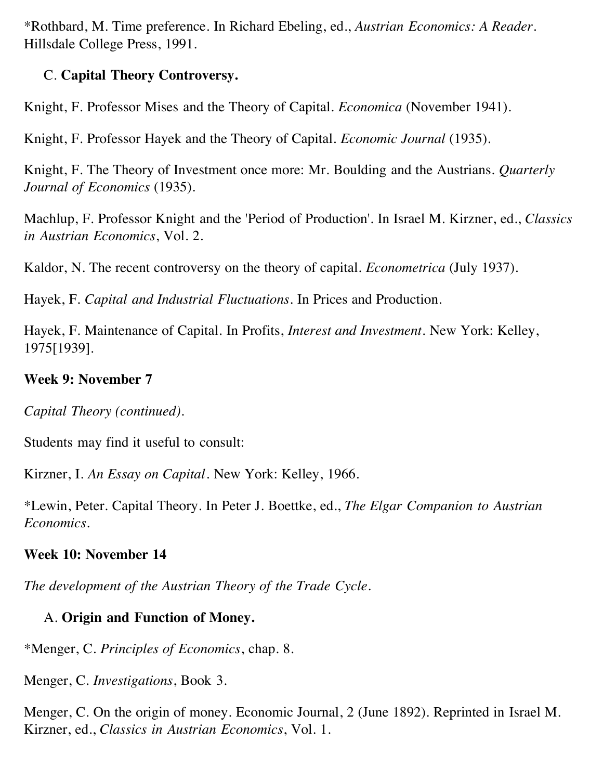\*Rothbard, M. Time preference. In Richard Ebeling, ed., *Austrian Economics: A Reader*. Hillsdale College Press, 1991.

## C. **Capital Theory Controversy.**

Knight, F. Professor Mises and the Theory of Capital. *Economica* (November 1941).

Knight, F. Professor Hayek and the Theory of Capital. *Economic Journal* (1935).

Knight, F. The Theory of Investment once more: Mr. Boulding and the Austrians. *Quarterly Journal of Economics* (1935).

Machlup, F. Professor Knight and the 'Period of Production'. In Israel M. Kirzner, ed., *Classics in Austrian Economics*, Vol. 2.

Kaldor, N. The recent controversy on the theory of capital. *Econometrica* (July 1937).

Hayek, F. *Capital and Industrial Fluctuations*. In Prices and Production.

Hayek, F. Maintenance of Capital. In Profits, *Interest and Investment*. New York: Kelley, 1975[1939].

#### **Week 9: November 7**

*Capital Theory (continued).*

Students may find it useful to consult:

Kirzner, I. *An Essay on Capital*. New York: Kelley, 1966.

\*Lewin, Peter. Capital Theory. In Peter J. Boettke, ed., *The Elgar Companion to Austrian Economics*.

## **Week 10: November 14**

*The development of the Austrian Theory of the Trade Cycle.*

# A. **Origin and Function of Money.**

\*Menger, C. *Principles of Economics*, chap. 8.

Menger, C. *Investigations*, Book 3.

Menger, C. On the origin of money. Economic Journal, 2 (June 1892). Reprinted in Israel M. Kirzner, ed., *Classics in Austrian Economics*, Vol. 1.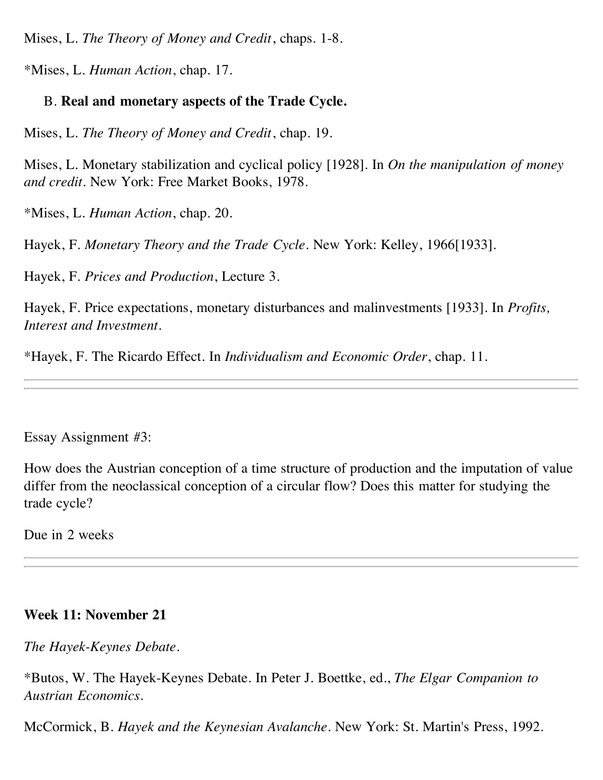Mises, L. *The Theory of Money and Credit*, chaps. 1-8.

\*Mises, L. *Human Action*, chap. 17.

## B. **Real and monetary aspects of the Trade Cycle.**

Mises, L. *The Theory of Money and Credit*, chap. 19.

Mises, L. Monetary stabilization and cyclical policy [1928]. In *On the manipulation of money and credit*. New York: Free Market Books, 1978.

\*Mises, L. *Human Action*, chap. 20.

Hayek, F. *Monetary Theory and the Trade Cycle*. New York: Kelley, 1966[1933].

Hayek, F. *Prices and Production*, Lecture 3.

Hayek, F. Price expectations, monetary disturbances and malinvestments [1933]. In *Profits, Interest and Investment*.

\*Hayek, F. The Ricardo Effect. In *Individualism and Economic Order*, chap. 11.

Essay Assignment #3:

How does the Austrian conception of a time structure of production and the imputation of value differ from the neoclassical conception of a circular flow? Does this matter for studying the trade cycle?

Due in 2 weeks

## **Week 11: November 21**

*The Hayek-Keynes Debate*.

\*Butos, W. The Hayek-Keynes Debate. In Peter J. Boettke, ed., *The Elgar Companion to Austrian Economics*.

McCormick, B. *Hayek and the Keynesian Avalanche*. New York: St. Martin's Press, 1992.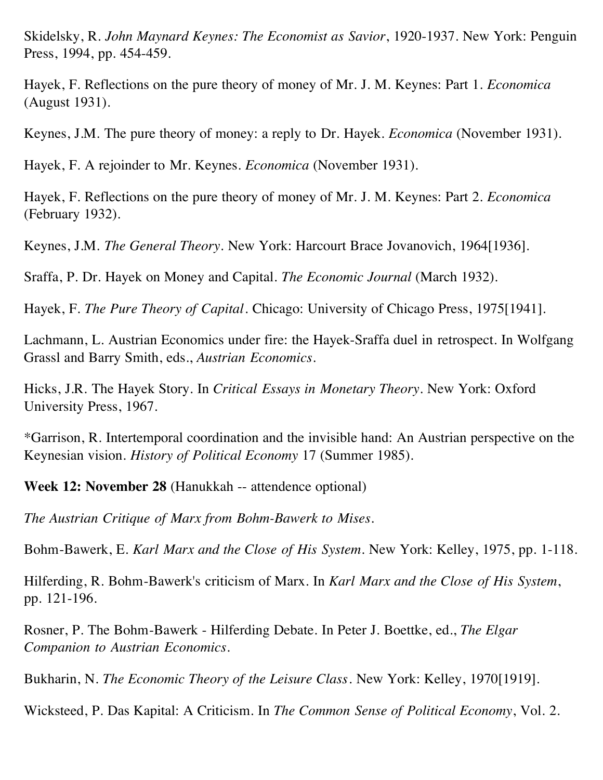Skidelsky, R. *John Maynard Keynes: The Economist as Savior*, 1920-1937. New York: Penguin Press, 1994, pp. 454-459.

Hayek, F. Reflections on the pure theory of money of Mr. J. M. Keynes: Part 1. *Economica* (August 1931).

Keynes, J.M. The pure theory of money: a reply to Dr. Hayek. *Economica* (November 1931).

Hayek, F. A rejoinder to Mr. Keynes. *Economica* (November 1931).

Hayek, F. Reflections on the pure theory of money of Mr. J. M. Keynes: Part 2. *Economica* (February 1932).

Keynes, J.M. *The General Theory*. New York: Harcourt Brace Jovanovich, 1964[1936].

Sraffa, P. Dr. Hayek on Money and Capital. *The Economic Journal* (March 1932).

Hayek, F. *The Pure Theory of Capital*. Chicago: University of Chicago Press, 1975[1941].

Lachmann, L. Austrian Economics under fire: the Hayek-Sraffa duel in retrospect. In Wolfgang Grassl and Barry Smith, eds., *Austrian Economics*.

Hicks, J.R. The Hayek Story. In *Critical Essays in Monetary Theory*. New York: Oxford University Press, 1967.

\*Garrison, R. Intertemporal coordination and the invisible hand: An Austrian perspective on the Keynesian vision. *History of Political Economy* 17 (Summer 1985).

**Week 12: November 28** (Hanukkah -- attendence optional)

*The Austrian Critique of Marx from Bohm-Bawerk to Mises.*

Bohm-Bawerk, E. *Karl Marx and the Close of His System*. New York: Kelley, 1975, pp. 1-118.

Hilferding, R. Bohm-Bawerk's criticism of Marx. In *Karl Marx and the Close of His System*, pp. 121-196.

Rosner, P. The Bohm-Bawerk - Hilferding Debate. In Peter J. Boettke, ed., *The Elgar Companion to Austrian Economics*.

Bukharin, N. *The Economic Theory of the Leisure Class*. New York: Kelley, 1970[1919].

Wicksteed, P. Das Kapital: A Criticism. In *The Common Sense of Political Economy*, Vol. 2.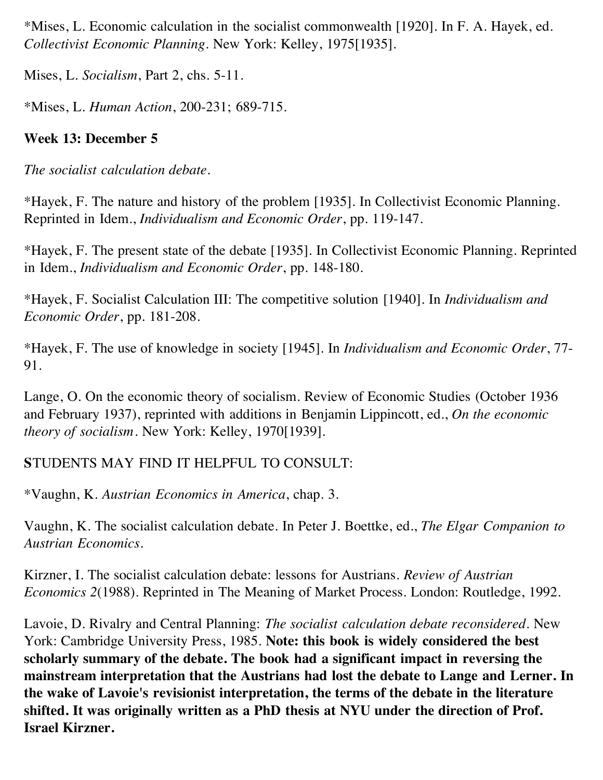\*Mises, L. Economic calculation in the socialist commonwealth [1920]. In F. A. Hayek, ed. *Collectivist Economic Planning*. New York: Kelley, 1975[1935].

Mises, L. *Socialism*, Part 2, chs. 5-11.

\*Mises, L. *Human Action*, 200-231; 689-715.

# **Week 13: December 5**

*The socialist calculation debate.*

\*Hayek, F. The nature and history of the problem [1935]. In Collectivist Economic Planning. Reprinted in Idem., *Individualism and Economic Order*, pp. 119-147.

\*Hayek, F. The present state of the debate [1935]. In Collectivist Economic Planning. Reprinted in Idem., *Individualism and Economic Order*, pp. 148-180.

\*Hayek, F. Socialist Calculation III: The competitive solution [1940]. In *Individualism and Economic Order*, pp. 181-208.

\*Hayek, F. The use of knowledge in society [1945]. In *Individualism and Economic Order*, 77- 91.

Lange, O. On the economic theory of socialism. Review of Economic Studies (October 1936 and February 1937), reprinted with additions in Benjamin Lippincott, ed., *On the economic theory of socialism*. New York: Kelley, 1970[1939].

# **S**TUDENTS MAY FIND IT HELPFUL TO CONSULT:

\*Vaughn, K. *Austrian Economics in America*, chap. 3.

Vaughn, K. The socialist calculation debate. In Peter J. Boettke, ed., *The Elgar Companion to Austrian Economics*.

Kirzner, I. The socialist calculation debate: lessons for Austrians. *Review of Austrian Economics 2*(1988). Reprinted in The Meaning of Market Process. London: Routledge, 1992.

Lavoie, D. Rivalry and Central Planning: *The socialist calculation debate reconsidered*. New York: Cambridge University Press, 1985. **Note: this book is widely considered the best scholarly summary of the debate. The book had a significant impact in reversing the mainstream interpretation that the Austrians had lost the debate to Lange and Lerner. In the wake of Lavoie's revisionist interpretation, the terms of the debate in the literature shifted. It was originally written as a PhD thesis at NYU under the direction of Prof. Israel Kirzner.**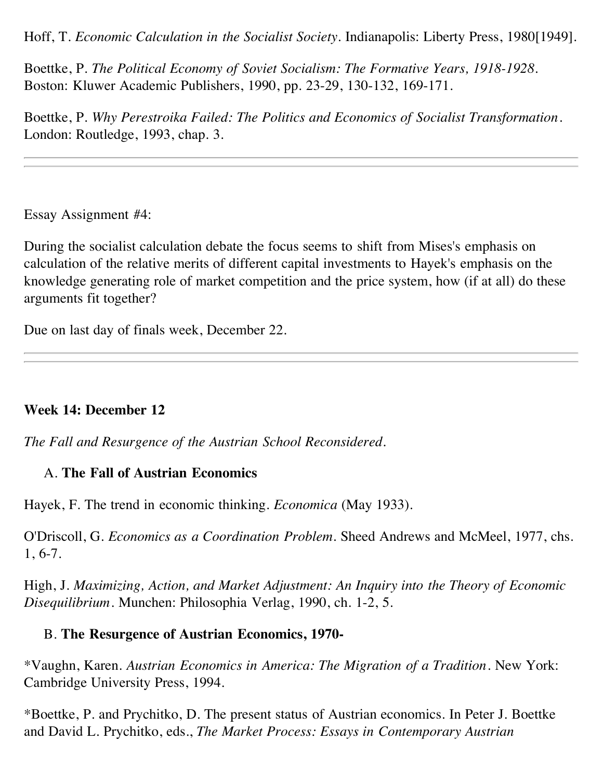Hoff, T. *Economic Calculation in the Socialist Society*. Indianapolis: Liberty Press, 1980[1949].

Boettke, P. *The Political Economy of Soviet Socialism: The Formative Years, 1918-1928*. Boston: Kluwer Academic Publishers, 1990, pp. 23-29, 130-132, 169-171.

Boettke, P. *Why Perestroika Failed: The Politics and Economics of Socialist Transformation*. London: Routledge, 1993, chap. 3.

Essay Assignment #4:

During the socialist calculation debate the focus seems to shift from Mises's emphasis on calculation of the relative merits of different capital investments to Hayek's emphasis on the knowledge generating role of market competition and the price system, how (if at all) do these arguments fit together?

Due on last day of finals week, December 22.

## **Week 14: December 12**

*The Fall and Resurgence of the Austrian School Reconsidered.*

## A. **The Fall of Austrian Economics**

Hayek, F. The trend in economic thinking. *Economica* (May 1933).

O'Driscoll, G. *Economics as a Coordination Problem*. Sheed Andrews and McMeel, 1977, chs. 1, 6-7.

High, J. *Maximizing, Action, and Market Adjustment: An Inquiry into the Theory of Economic Disequilibrium*. Munchen: Philosophia Verlag, 1990, ch. 1-2, 5.

## B. **The Resurgence of Austrian Economics, 1970-**

\*Vaughn, Karen. *Austrian Economics in America: The Migration of a Tradition*. New York: Cambridge University Press, 1994.

\*Boettke, P. and Prychitko, D. The present status of Austrian economics. In Peter J. Boettke and David L. Prychitko, eds., *The Market Process: Essays in Contemporary Austrian*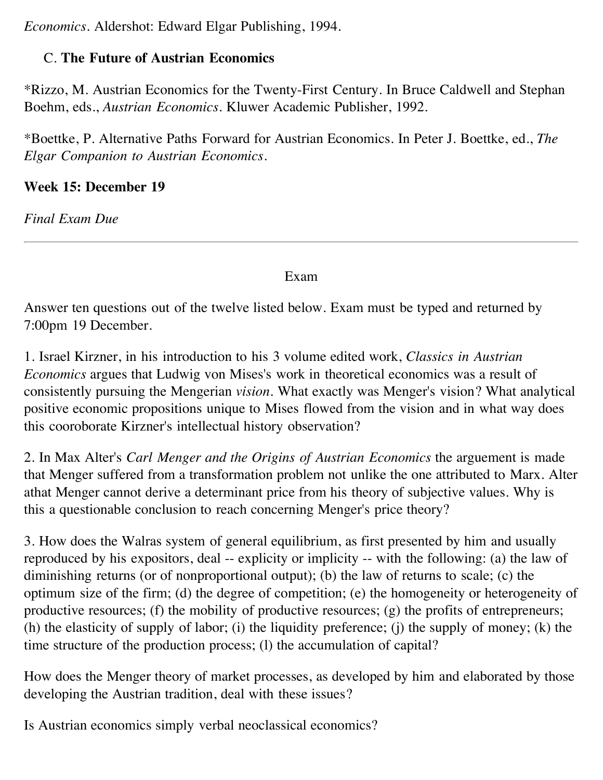*Economics*. Aldershot: Edward Elgar Publishing, 1994.

# C. **The Future of Austrian Economics**

\*Rizzo, M. Austrian Economics for the Twenty-First Century. In Bruce Caldwell and Stephan Boehm, eds., *Austrian Economics*. Kluwer Academic Publisher, 1992.

\*Boettke, P. Alternative Paths Forward for Austrian Economics. In Peter J. Boettke, ed., *The Elgar Companion to Austrian Economics*.

# **Week 15: December 19**

*Final Exam Due*

Exam

Answer ten questions out of the twelve listed below. Exam must be typed and returned by 7:00pm 19 December.

1. Israel Kirzner, in his introduction to his 3 volume edited work, *Classics in Austrian Economics* argues that Ludwig von Mises's work in theoretical economics was a result of consistently pursuing the Mengerian *vision*. What exactly was Menger's vision? What analytical positive economic propositions unique to Mises flowed from the vision and in what way does this cooroborate Kirzner's intellectual history observation?

2. In Max Alter's *Carl Menger and the Origins of Austrian Economics* the arguement is made that Menger suffered from a transformation problem not unlike the one attributed to Marx. Alter athat Menger cannot derive a determinant price from his theory of subjective values. Why is this a questionable conclusion to reach concerning Menger's price theory?

3. How does the Walras system of general equilibrium, as first presented by him and usually reproduced by his expositors, deal -- explicity or implicity -- with the following: (a) the law of diminishing returns (or of nonproportional output); (b) the law of returns to scale; (c) the optimum size of the firm; (d) the degree of competition; (e) the homogeneity or heterogeneity of productive resources; (f) the mobility of productive resources; (g) the profits of entrepreneurs; (h) the elasticity of supply of labor; (i) the liquidity preference; (j) the supply of money; (k) the time structure of the production process; (l) the accumulation of capital?

How does the Menger theory of market processes, as developed by him and elaborated by those developing the Austrian tradition, deal with these issues?

Is Austrian economics simply verbal neoclassical economics?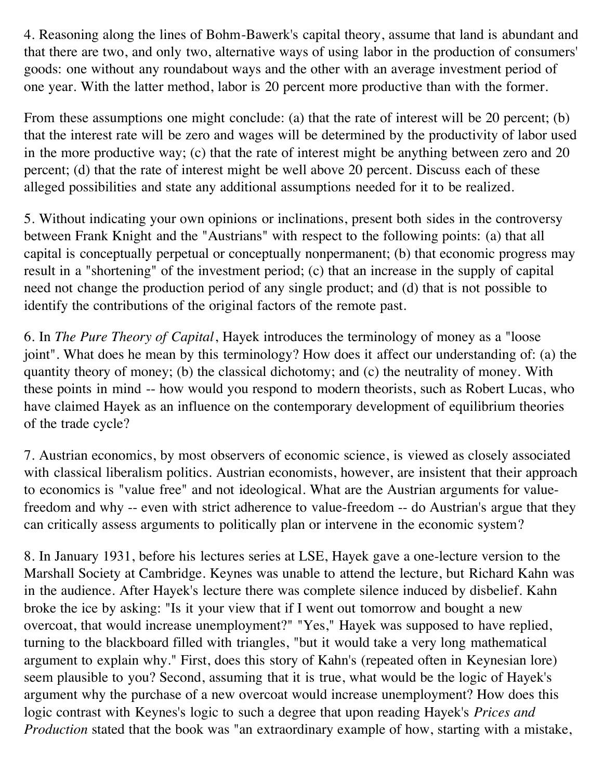4. Reasoning along the lines of Bohm-Bawerk's capital theory, assume that land is abundant and that there are two, and only two, alternative ways of using labor in the production of consumers' goods: one without any roundabout ways and the other with an average investment period of one year. With the latter method, labor is 20 percent more productive than with the former.

From these assumptions one might conclude: (a) that the rate of interest will be 20 percent; (b) that the interest rate will be zero and wages will be determined by the productivity of labor used in the more productive way; (c) that the rate of interest might be anything between zero and 20 percent; (d) that the rate of interest might be well above 20 percent. Discuss each of these alleged possibilities and state any additional assumptions needed for it to be realized.

5. Without indicating your own opinions or inclinations, present both sides in the controversy between Frank Knight and the "Austrians" with respect to the following points: (a) that all capital is conceptually perpetual or conceptually nonpermanent; (b) that economic progress may result in a "shortening" of the investment period; (c) that an increase in the supply of capital need not change the production period of any single product; and (d) that is not possible to identify the contributions of the original factors of the remote past.

6. In *The Pure Theory of Capital*, Hayek introduces the terminology of money as a "loose joint". What does he mean by this terminology? How does it affect our understanding of: (a) the quantity theory of money; (b) the classical dichotomy; and (c) the neutrality of money. With these points in mind -- how would you respond to modern theorists, such as Robert Lucas, who have claimed Hayek as an influence on the contemporary development of equilibrium theories of the trade cycle?

7. Austrian economics, by most observers of economic science, is viewed as closely associated with classical liberalism politics. Austrian economists, however, are insistent that their approach to economics is "value free" and not ideological. What are the Austrian arguments for valuefreedom and why -- even with strict adherence to value-freedom -- do Austrian's argue that they can critically assess arguments to politically plan or intervene in the economic system?

8. In January 1931, before his lectures series at LSE, Hayek gave a one-lecture version to the Marshall Society at Cambridge. Keynes was unable to attend the lecture, but Richard Kahn was in the audience. After Hayek's lecture there was complete silence induced by disbelief. Kahn broke the ice by asking: "Is it your view that if I went out tomorrow and bought a new overcoat, that would increase unemployment?" "Yes," Hayek was supposed to have replied, turning to the blackboard filled with triangles, "but it would take a very long mathematical argument to explain why." First, does this story of Kahn's (repeated often in Keynesian lore) seem plausible to you? Second, assuming that it is true, what would be the logic of Hayek's argument why the purchase of a new overcoat would increase unemployment? How does this logic contrast with Keynes's logic to such a degree that upon reading Hayek's *Prices and Production* stated that the book was "an extraordinary example of how, starting with a mistake,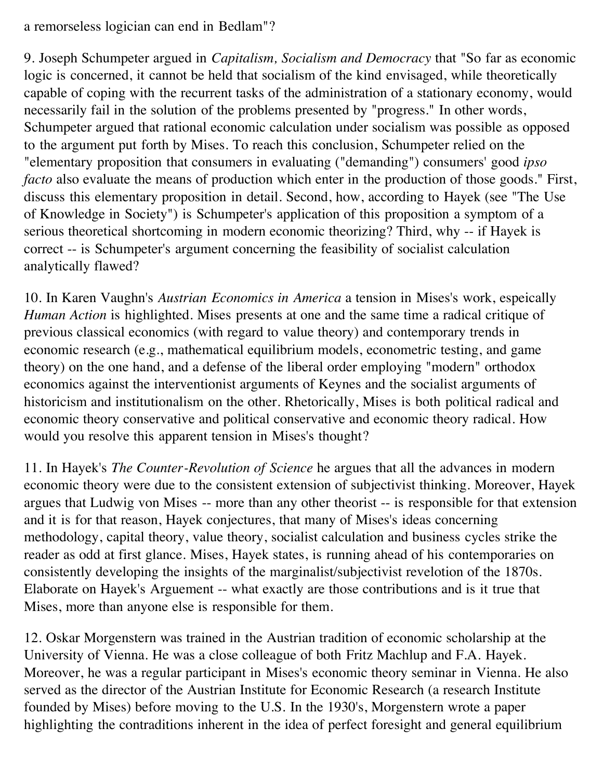## a remorseless logician can end in Bedlam"?

9. Joseph Schumpeter argued in *Capitalism, Socialism and Democracy* that "So far as economic logic is concerned, it cannot be held that socialism of the kind envisaged, while theoretically capable of coping with the recurrent tasks of the administration of a stationary economy, would necessarily fail in the solution of the problems presented by "progress." In other words, Schumpeter argued that rational economic calculation under socialism was possible as opposed to the argument put forth by Mises. To reach this conclusion, Schumpeter relied on the "elementary proposition that consumers in evaluating ("demanding") consumers' good *ipso facto* also evaluate the means of production which enter in the production of those goods." First, discuss this elementary proposition in detail. Second, how, according to Hayek (see "The Use of Knowledge in Society") is Schumpeter's application of this proposition a symptom of a serious theoretical shortcoming in modern economic theorizing? Third, why -- if Hayek is correct -- is Schumpeter's argument concerning the feasibility of socialist calculation analytically flawed?

10. In Karen Vaughn's *Austrian Economics in America* a tension in Mises's work, espeically *Human Action* is highlighted. Mises presents at one and the same time a radical critique of previous classical economics (with regard to value theory) and contemporary trends in economic research (e.g., mathematical equilibrium models, econometric testing, and game theory) on the one hand, and a defense of the liberal order employing "modern" orthodox economics against the interventionist arguments of Keynes and the socialist arguments of historicism and institutionalism on the other. Rhetorically, Mises is both political radical and economic theory conservative and political conservative and economic theory radical. How would you resolve this apparent tension in Mises's thought?

11. In Hayek's *The Counter-Revolution of Science* he argues that all the advances in modern economic theory were due to the consistent extension of subjectivist thinking. Moreover, Hayek argues that Ludwig von Mises -- more than any other theorist -- is responsible for that extension and it is for that reason, Hayek conjectures, that many of Mises's ideas concerning methodology, capital theory, value theory, socialist calculation and business cycles strike the reader as odd at first glance. Mises, Hayek states, is running ahead of his contemporaries on consistently developing the insights of the marginalist/subjectivist revelotion of the 1870s. Elaborate on Hayek's Arguement -- what exactly are those contributions and is it true that Mises, more than anyone else is responsible for them.

12. Oskar Morgenstern was trained in the Austrian tradition of economic scholarship at the University of Vienna. He was a close colleague of both Fritz Machlup and F.A. Hayek. Moreover, he was a regular participant in Mises's economic theory seminar in Vienna. He also served as the director of the Austrian Institute for Economic Research (a research Institute founded by Mises) before moving to the U.S. In the 1930's, Morgenstern wrote a paper highlighting the contraditions inherent in the idea of perfect foresight and general equilibrium